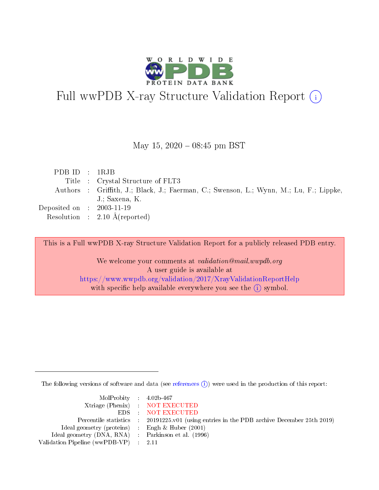

# Full wwPDB X-ray Structure Validation Report (i)

#### May 15,  $2020 - 08:45$  pm BST

| PDBID : IRJB                   |                                                                                        |
|--------------------------------|----------------------------------------------------------------------------------------|
|                                | Title : Crystal Structure of FLT3                                                      |
|                                | Authors : Griffith, J.; Black, J.; Faerman, C.; Swenson, L.; Wynn, M.; Lu, F.; Lippke, |
|                                | J.: Saxena, K.                                                                         |
| Deposited on $\,$ : 2003-11-19 |                                                                                        |
|                                | Resolution : $2.10 \text{ Å}$ (reported)                                               |

This is a Full wwPDB X-ray Structure Validation Report for a publicly released PDB entry.

We welcome your comments at validation@mail.wwpdb.org A user guide is available at <https://www.wwpdb.org/validation/2017/XrayValidationReportHelp> with specific help available everywhere you see the  $(i)$  symbol.

The following versions of software and data (see [references](https://www.wwpdb.org/validation/2017/XrayValidationReportHelp#references)  $\overline{(1)}$ ) were used in the production of this report:

| $MolProbability$ 4.02b-467                          |                                                                    |
|-----------------------------------------------------|--------------------------------------------------------------------|
|                                                     | Xtriage (Phenix) NOT EXECUTED                                      |
|                                                     | EDS : NOT EXECUTED                                                 |
| Percentile statistics :                             | 20191225.v01 (using entries in the PDB archive December 25th 2019) |
| Ideal geometry (proteins) :                         | Engh $\&$ Huber (2001)                                             |
| Ideal geometry (DNA, RNA) : Parkinson et al. (1996) |                                                                    |
| Validation Pipeline (wwPDB-VP) : 2.11               |                                                                    |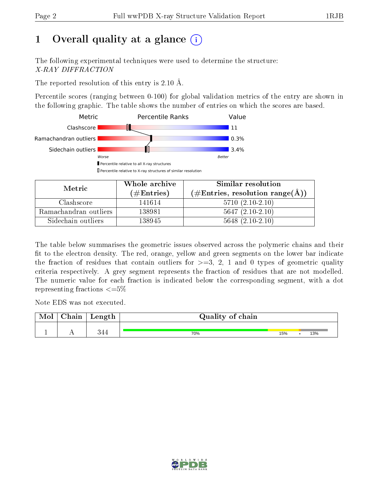## 1 [O](https://www.wwpdb.org/validation/2017/XrayValidationReportHelp#overall_quality)verall quality at a glance  $(i)$

The following experimental techniques were used to determine the structure: X-RAY DIFFRACTION

The reported resolution of this entry is 2.10 Å.

Percentile scores (ranging between 0-100) for global validation metrics of the entry are shown in the following graphic. The table shows the number of entries on which the scores are based.



| Metric                | Whole archive<br>$(\#\text{Entries})$ | Similar resolution<br>$(\#\text{Entries}, \text{resolution range}(\text{\AA}) )$ |  |  |
|-----------------------|---------------------------------------|----------------------------------------------------------------------------------|--|--|
| Clashscore            | 141614                                | $5710(2.10-2.10)$                                                                |  |  |
| Ramachandran outliers | 138981                                | $5647(2.10-2.10)$                                                                |  |  |
| Sidechain outliers    | 138945                                | $5648$ $(2.10-2.10)$                                                             |  |  |

The table below summarises the geometric issues observed across the polymeric chains and their fit to the electron density. The red, orange, yellow and green segments on the lower bar indicate the fraction of residues that contain outliers for  $\geq=3$ , 2, 1 and 0 types of geometric quality criteria respectively. A grey segment represents the fraction of residues that are not modelled. The numeric value for each fraction is indicated below the corresponding segment, with a dot representing fractions  $\leq=5\%$ 

Note EDS was not executed.

| Mol | $\cap$ hain | Length | Quality of chain |     |     |
|-----|-------------|--------|------------------|-----|-----|
|     |             |        |                  |     |     |
|     |             |        | 70%              | 15% | 13% |

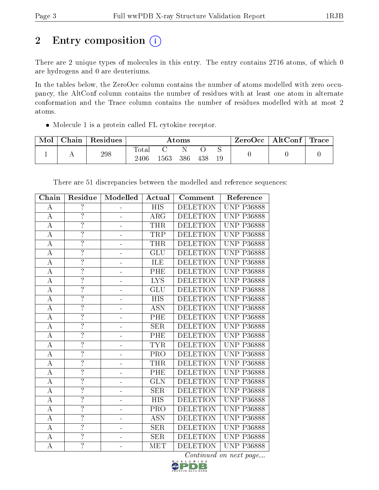# 2 Entry composition (i)

There are 2 unique types of molecules in this entry. The entry contains 2716 atoms, of which 0 are hydrogens and 0 are deuteriums.

In the tables below, the ZeroOcc column contains the number of atoms modelled with zero occupancy, the AltConf column contains the number of residues with at least one atom in alternate conformation and the Trace column contains the number of residues modelled with at most 2 atoms.

Molecule 1 is a protein called FL cytokine receptor.

| Mol | Chain | ' Residues | Atoms               |     |     |     |    | ZeroOcc∣ | $\mid$ AltConf $\mid$ | $\mid$ Trace $\mid$ |
|-----|-------|------------|---------------------|-----|-----|-----|----|----------|-----------------------|---------------------|
|     |       | 298        | $\rm Total$<br>2406 | 563 | 386 | 438 | 19 |          |                       |                     |

| Chain                 | Residue                  | Modelled | Actual           | Comment         | Reference         |
|-----------------------|--------------------------|----------|------------------|-----------------|-------------------|
| $\boldsymbol{A}$      | $\overline{\mathcal{L}}$ |          | <b>HIS</b>       | <b>DELETION</b> | <b>UNP P36888</b> |
| $\boldsymbol{A}$      | $\overline{?}$           |          | <b>ARG</b>       | <b>DELETION</b> | <b>UNP P36888</b> |
| $\overline{A}$        | $\overline{?}$           |          | <b>THR</b>       | <b>DELETION</b> | <b>UNP P36888</b> |
| $\boldsymbol{A}$      | $\overline{?}$           |          | TRP              | <b>DELETION</b> | <b>UNP P36888</b> |
| $\overline{A}$        | $\overline{?}$           |          | <b>THR</b>       | <b>DELETION</b> | <b>UNP P36888</b> |
| $\boldsymbol{\rm{A}}$ | $\ddot{?}$               |          | GLU              | <b>DELETION</b> | <b>UNP P36888</b> |
| $\boldsymbol{A}$      | $\overline{\cdot}$       |          | ILE              | <b>DELETION</b> | <b>UNP P36888</b> |
| $\boldsymbol{A}$      | $\overline{?}$           |          | PHE              | <b>DELETION</b> | <b>UNP P36888</b> |
| $\mathbf A$           | $\overline{?}$           |          | <b>LYS</b>       | <b>DELETION</b> | <b>UNP P36888</b> |
| $\boldsymbol{A}$      | $\overline{?}$           |          | GLU              | <b>DELETION</b> | <b>UNP P36888</b> |
| $\boldsymbol{A}$      | $\overline{?}$           |          | <b>HIS</b>       | <b>DELETION</b> | <b>UNP P36888</b> |
| $\bf{A}$              | $\overline{?}$           |          | <b>ASN</b>       | <b>DELETION</b> | <b>UNP P36888</b> |
| $\boldsymbol{A}$      | $\overline{?}$           |          | PHE              | <b>DELETION</b> | <b>UNP P36888</b> |
| $\boldsymbol{\rm{A}}$ | $\overline{?}$           |          | <b>SER</b>       | <b>DELETION</b> | <b>UNP P36888</b> |
| $\bf{A}$              | $\overline{?}$           |          | PHE              | <b>DELETION</b> | <b>UNP P36888</b> |
| $\boldsymbol{A}$      | $\overline{?}$           |          | <b>TYR</b>       | <b>DELETION</b> | <b>UNP P36888</b> |
| $\boldsymbol{A}$      | $\overline{?}$           |          | PRO              | <b>DELETION</b> | <b>UNP P36888</b> |
| $\bf{A}$              | $\overline{?}$           |          | <b>THR</b>       | <b>DELETION</b> | <b>UNP P36888</b> |
| $\bf{A}$              | $\overline{?}$           |          | PHE              | <b>DELETION</b> | <b>UNP P36888</b> |
| $\overline{\rm A}$    | $\overline{?}$           |          | GLN              | <b>DELETION</b> | <b>UNP P36888</b> |
| $\overline{A}$        | $\overline{?}$           |          | <b>SER</b>       | <b>DELETION</b> | <b>UNP P36888</b> |
| $\overline{A}$        | $\overline{?}$           |          | $\overline{HIS}$ | <b>DELETION</b> | <b>UNP P36888</b> |
| $\boldsymbol{A}$      | $\overline{\cdot}$       |          | PRO              | <b>DELETION</b> | <b>UNP P36888</b> |
| $\overline{A}$        | $\overline{?}$           |          | <b>ASN</b>       | <b>DELETION</b> | <b>UNP P36888</b> |
| $\overline{A}$        | $\overline{?}$           |          | <b>SER</b>       | <b>DELETION</b> | <b>UNP P36888</b> |
| $\boldsymbol{A}$      | $\overline{\cdot}$       |          | <b>SER</b>       | <b>DELETION</b> | <b>UNP P36888</b> |
| $\overline{\rm A}$    | $\overline{?}$           |          | <b>MET</b>       | <b>DELETION</b> | <b>UNP P36888</b> |

There are 51 discrepancies between the modelled and reference sequences:

Continued on next page...

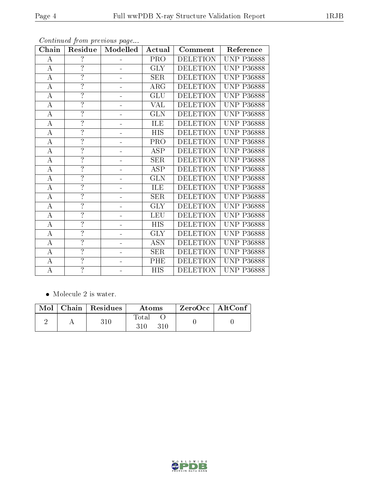| ${\bf Chain}$      | Residue                  | Modelled | Actual                    | Comment         | Reference         |
|--------------------|--------------------------|----------|---------------------------|-----------------|-------------------|
| A                  | $\overline{\cdot}$       |          | PRO                       | <b>DELETION</b> | <b>UNP P36888</b> |
| $\bf{A}$           | $\overline{\phantom{a}}$ |          | <b>GLY</b>                | <b>DELETION</b> | <b>UNP P36888</b> |
| $\boldsymbol{A}$   | $\overline{?}$           |          | <b>SER</b>                | <b>DELETION</b> | <b>UNP P36888</b> |
| $\boldsymbol{A}$   | $\overline{\cdot}$       |          | $\rm{ARG}$                | <b>DELETION</b> | <b>UNP P36888</b> |
| $\overline{\rm A}$ | ?                        |          | $\overline{\mathrm{GLU}}$ | <b>DELETION</b> | <b>UNP P36888</b> |
| $\boldsymbol{A}$   | $\overline{\cdot}$       |          | <b>VAL</b>                | <b>DELETION</b> | <b>UNP P36888</b> |
| $\boldsymbol{A}$   | $\overline{\cdot}$       |          | <b>GLN</b>                | <b>DELETION</b> | <b>UNP P36888</b> |
| $\overline{A}$     | $\overline{?}$           |          | ILE                       | <b>DELETION</b> | <b>UNP P36888</b> |
| $\bf{A}$           | $\overline{\cdot}$       |          | <b>HIS</b>                | <b>DELETION</b> | <b>UNP P36888</b> |
| $\overline{\rm A}$ | ?                        |          | PRO                       | <b>DELETION</b> | <b>UNP P36888</b> |
| $\boldsymbol{A}$   | $\overline{\cdot}$       |          | <b>ASP</b>                | <b>DELETION</b> | <b>UNP P36888</b> |
| $\boldsymbol{A}$   | ?                        |          | <b>SER</b>                | <b>DELETION</b> | <b>UNP P36888</b> |
| $\boldsymbol{A}$   | $\overline{?}$           |          | <b>ASP</b>                | <b>DELETION</b> | <b>UNP P36888</b> |
| $\boldsymbol{A}$   | $\overline{\cdot}$       |          | <b>GLN</b>                | <b>DELETION</b> | <b>UNP P36888</b> |
| $\boldsymbol{A}$   | $\overline{?}$           |          | ILE                       | <b>DELETION</b> | <b>UNP P36888</b> |
| $\boldsymbol{A}$   | $\overline{\cdot}$       |          | <b>SER</b>                | <b>DELETION</b> | <b>UNP P36888</b> |
| $\boldsymbol{A}$   | ?                        |          | $\overline{\text{GLY}}$   | <b>DELETION</b> | <b>UNP P36888</b> |
| $\boldsymbol{A}$   | $\overline{\cdot}$       |          | <b>LEU</b>                | <b>DELETION</b> | <b>UNP P36888</b> |
| $\bf{A}$           | $\overline{\cdot}$       |          | <b>HIS</b>                | <b>DELETION</b> | <b>UNP P36888</b> |
| $\boldsymbol{A}$   | $\overline{?}$           |          | <b>GLY</b>                | <b>DELETION</b> | <b>UNP P36888</b> |
| $\boldsymbol{A}$   | $\overline{\cdot}$       |          | <b>ASN</b>                | <b>DELETION</b> | <b>UNP P36888</b> |
| $\boldsymbol{A}$   | $\overline{\cdot}$       |          | <b>SER</b>                | <b>DELETION</b> | <b>UNP P36888</b> |
| $\boldsymbol{A}$   | $\overline{\cdot}$       |          | PHE                       | <b>DELETION</b> | <b>UNP P36888</b> |
| А                  | $\overline{?}$           |          | <b>HIS</b>                | <b>DELETION</b> | <b>UNP P36888</b> |

Continued from previous page...

• Molecule 2 is water.

|  | $\mid$ Mol $\mid$ Chain $\mid$ Residues $\mid$ | Atoms               | $^\shortparallel$ ZeroOcc   AltConf |  |
|--|------------------------------------------------|---------------------|-------------------------------------|--|
|  | 310                                            | Total<br>310<br>310 |                                     |  |

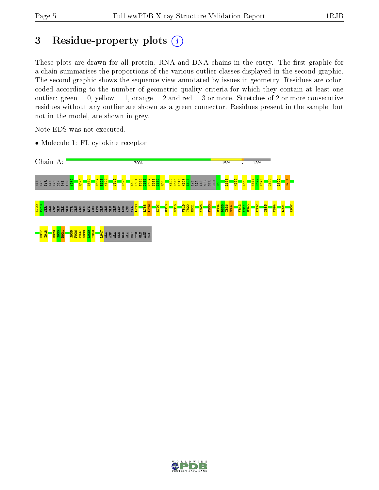## 3 Residue-property plots  $(i)$

These plots are drawn for all protein, RNA and DNA chains in the entry. The first graphic for a chain summarises the proportions of the various outlier classes displayed in the second graphic. The second graphic shows the sequence view annotated by issues in geometry. Residues are colorcoded according to the number of geometric quality criteria for which they contain at least one outlier: green  $= 0$ , yellow  $= 1$ , orange  $= 2$  and red  $= 3$  or more. Stretches of 2 or more consecutive residues without any outlier are shown as a green connector. Residues present in the sample, but not in the model, are shown in grey.

Note EDS was not executed.

• Molecule 1: FL cytokine receptor



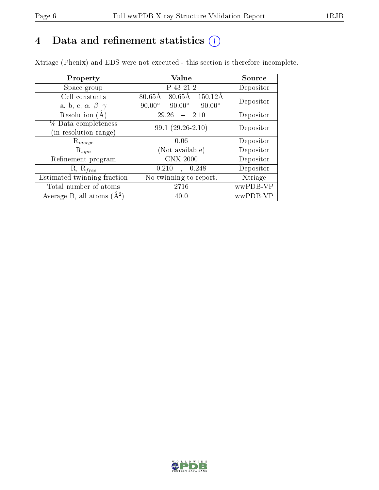## 4 Data and refinement statistics  $(i)$

Xtriage (Phenix) and EDS were not executed - this section is therefore incomplete.

| Property                               | Value                                                        | Source    |  |
|----------------------------------------|--------------------------------------------------------------|-----------|--|
| Space group                            | P 43 21 2                                                    | Depositor |  |
| Cell constants                         | $80.65\text{\AA}$<br>$80.65\text{\AA}$<br>$150.12\text{\AA}$ | Depositor |  |
| a, b, c, $\alpha$ , $\beta$ , $\gamma$ | $90.00^\circ$<br>$90.00^\circ$<br>$90.00^\circ$              |           |  |
| Resolution $(A)$                       | 29.26<br>- 2.10                                              | Depositor |  |
| % Data completeness                    | $99.1(29.26-2.10)$                                           | Depositor |  |
| (in resolution range)                  |                                                              |           |  |
| $\mathrm{R}_{merge}$                   | 0.06                                                         | Depositor |  |
| $\mathrm{R}_{sym}$                     | (Not available)                                              | Depositor |  |
| Refinement program                     | <b>CNX 2000</b>                                              | Depositor |  |
| $R, R_{free}$                          | 0.210<br>0.248<br>$\mathbf{A}^{\text{max}}$                  | Depositor |  |
| Estimated twinning fraction            | No twinning to report.                                       | Xtriage   |  |
| Total number of atoms                  | 2716                                                         | wwPDB-VP  |  |
| Average B, all atoms $(A^2)$           | 40.0                                                         | wwPDB-VP  |  |

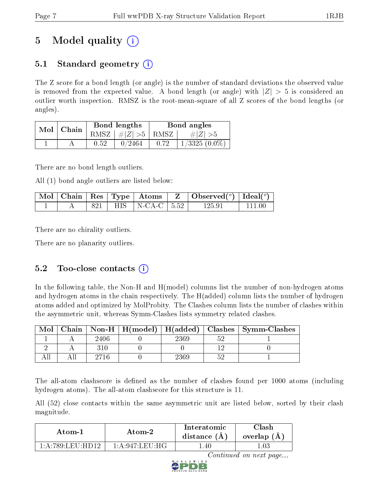# 5 Model quality  $(i)$

### 5.1 Standard geometry  $\overline{()}$

The Z score for a bond length (or angle) is the number of standard deviations the observed value is removed from the expected value. A bond length (or angle) with  $|Z| > 5$  is considered an outlier worth inspection. RMSZ is the root-mean-square of all Z scores of the bond lengths (or angles).

| Mol | Chain |      | Bond lengths       | Bond angles |                   |  |
|-----|-------|------|--------------------|-------------|-------------------|--|
|     |       | RMSZ | $\vert \#  Z  > 5$ | RMSZ        | $\# Z  > 5$       |  |
|     |       | 0.52 | 0/2464             | 0.72        | $1/3325$ $(0.0\%$ |  |

There are no bond length outliers.

All (1) bond angle outliers are listed below:

|  |  |                           | $\mid$ Mol $\mid$ Chain $\mid$ Res $\mid$ Type $\mid$ Atoms $\mid$ Z $\mid$ Observed( <sup>o</sup> ) $\mid$ Ideal( <sup>o</sup> ) $\mid$ |          |
|--|--|---------------------------|------------------------------------------------------------------------------------------------------------------------------------------|----------|
|  |  | 821   HIS   N-CA-C   5.52 | 125.91                                                                                                                                   | - 111 00 |

There are no chirality outliers.

There are no planarity outliers.

### 5.2 Too-close contacts  $(i)$

In the following table, the Non-H and H(model) columns list the number of non-hydrogen atoms and hydrogen atoms in the chain respectively. The H(added) column lists the number of hydrogen atoms added and optimized by MolProbity. The Clashes column lists the number of clashes within the asymmetric unit, whereas Symm-Clashes lists symmetry related clashes.

| Mol |      |      | Chain   Non-H   H(model)   H(added)   Clashes   Symm-Clashes |
|-----|------|------|--------------------------------------------------------------|
|     | 2406 | 2369 |                                                              |
|     |      |      |                                                              |
|     |      | 2369 |                                                              |

The all-atom clashscore is defined as the number of clashes found per 1000 atoms (including hydrogen atoms). The all-atom clashscore for this structure is 11.

All (52) close contacts within the same asymmetric unit are listed below, sorted by their clash magnitude.

| Atom-1                       | Atom-2         | Interatomic<br>distance $(A)$ | `llash<br>overlap $(A)$ |
|------------------------------|----------------|-------------------------------|-------------------------|
| 1 · A · 789 · I EII · HD19 · | 1 A 947 LEU HG | -40                           |                         |

Continued on next page...

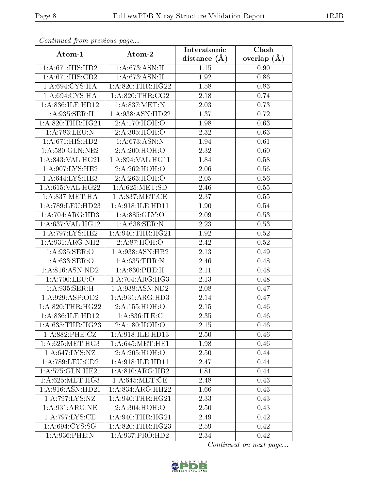|                      | Commaca jibin previous page |                               | Clash         |
|----------------------|-----------------------------|-------------------------------|---------------|
| Atom-1               | Atom-2                      | Interatomic<br>distance $(A)$ | overlap $(A)$ |
| 1:A:671:HIS:HD2      | 1:A:673:ASN:H               | 1.15                          | 0.90          |
| 1: A:671: HIS:CD2    | 1: A:673:ASN:H              | 1.92                          | 0.86          |
| 1: A:694: CYS: HA    | 1: A:820:THR:HG22           | 1.58                          | 0.83          |
| 1:A:694:CYS:HA       | 1: A:820:THR:CG2            | 2.18                          | 0.74          |
| 1:A:836:ILE:HD12     | 1:A:837:MET:N               | 2.03                          | 0.73          |
| 1:A:935:SER:H        | 1: A:938: ASN: HD22         | 1.37                          | 0.72          |
| 1: A:820:THR:HG21    | 2:A:170:HOH:O               | 1.98                          | 0.63          |
| 1:A:783:LEU:N        | 2:A:305:HOH:O               | 2.32                          | 0.63          |
| 1:A:671:HIS:HD2      | 1: A:673:ASN:N              | 1.94                          | 0.61          |
| 1:A:580:GLN:NE2      | 2:A:200:HOH:O               | 2.32                          | 0.60          |
| 1:A:843:VAL:HG21     | 1:A:894:VAL:HG11            | 1.84                          | 0.58          |
| 1: A:907: LYS: HE2   | 2:A:262:HOH:O               | 2.06                          | 0.56          |
| 1:A:644:LYS:HE3      | 2:A:263:HOH:O               | 2.05                          | 0.56          |
| 1: A:615: VAL:HG22   | 1: A:625: MET:SD            | 2.46                          | 0.55          |
| 1: A:837:MET:HA      | 1: A:837: MET:CE            | 2.37                          | 0.55          |
| 1:A:789:LEU:HD23     | 1:A:918:ILE:HD11            | 1.90                          | 0.54          |
| 1:A:704:ARG:HD3      | 1: A:885: GLY:O             | 2.09                          | 0.53          |
| 1:A:637:VAL:HG12     | 1:A:638:SER:N               | 2.23                          | 0.53          |
| 1:A:797:LYS:HE2      | 1: A:940:THR:HG21           | 1.92                          | 0.52          |
| 1:A:931:ARG:NH2      | 2: A:87: HOH:O              | 2.42                          | 0.52          |
| 1: A:935: SER:O      | 1:A:938:ASN:HB2             | 2.13                          | 0.49          |
| 1:A:633:SER:O        | 1: A:635:THR:N              | 2.46                          | 0.48          |
| 1:A:816:ASN:ND2      | 1:A:830:PHE:H               | 2.11                          | 0.48          |
| 1: A:700: LEU:O      | 1:A:704:ARG:HG3             | $\overline{2}.13$             | 0.48          |
| 1:A:935:SER:H        | 1:A:938:ASN:ND2             | 2.08                          | 0.47          |
| 1:A:929:ASP:OD2      | 1:A:931:ARG:HD3             | 2.14                          | 0.47          |
| 1:A:820:THR:HG22     | 2:A:155:HOH:O               | 2.15                          | 0.46          |
| 1:A:836:ILE:HD12     | 1: A:836: ILE:C             | 2.35                          | 0.46          |
| 1:A:635:THR:HG23     | 2:A:180:HOH:O               | 2.15                          | 0.46          |
| 1:A:882:PHE:CZ       | 1:A:918:ILE:HD13            | 2.50                          | 0.46          |
| 1: A:625: MET:HG3    | 1: A:645: MET:HE1           | 1.98                          | 0.46          |
| 1: A:647:LYS:NZ      | 2:A:205:HOH:O               | 2.50                          | 0.44          |
| $1: A:789: LEU:$ CD2 | 1: A:918: ILE: HD11         | 2.47                          | 0.44          |
| 1:A:575:GLN:HE21     | 1:A:810:ARG:HB2             | 1.81                          | 0.44          |
| 1: A:625: MET:HG3    | 1: A:645:MET:CE             | 2.48                          | 0.43          |
| 1:A:816:ASN:HD21     | 1: A:834:ARG:HH22           | 1.66                          | 0.43          |
| 1:A:797:LYS:NZ       | 1: A:940:THR:HG21           | 2.33                          | 0.43          |
| 1: A:931:ARG:NE      | 2:A:304:HOH:O               | 2.50                          | 0.43          |
| 1:A:797:LYS:CE       | 1: A:940:THR:HG21           | 2.49                          | 0.42          |
| 1: A:694: CYS:SG     | 1: A:820:THR:HG23           | 2.59                          | 0.42          |
| $1: A:936:$ PHE:N    | 1: A:937: PRO:HD2           | 2.34                          | 0.42          |

Continued from previous page.

Continued on next page...

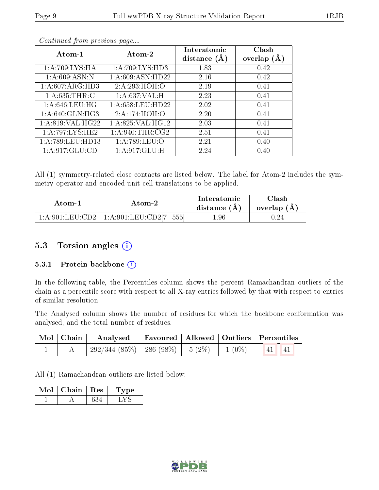| Atom- $1$           | Atom-2             | Interatomic<br>distance $(\AA)$ | Clash<br>overlap $(A)$ |
|---------------------|--------------------|---------------------------------|------------------------|
| 1:A:709:LYS:HA      | 1:A:709:LYS:HD3    | 1.83                            | 0.42                   |
| 1: A:609: ASN:N     | 1: A:609: ASN:HD22 | 2.16                            | 0.42                   |
| 1: A:607: ARG:HD3   | 2:A:293:HOH:O      | 2.19                            | 0.41                   |
| 1: A:635:THR:C      | 1: A:637: VAL:H    | 2.23                            | 0.41                   |
| 1: A:646:LEU:HG     | 1: A:658:LEU:HD22  | 2.02                            | 0.41                   |
| 1: A:640: GLN: HG3  | 2:A:174:HOH:O      | 2.20                            | 0.41                   |
| 1:A:819:VAL:HG22    | 1: A:825: VAL:HG12 | 2.03                            | 0.41                   |
| 1: A:797:LYS:HE2    | 1: A:940:THR:CG2   | 2.51                            | 0.41                   |
| 1: A:789: LEU: HD13 | 1:A:789:LEU:O      | 2.21                            | 0.40                   |
| 1:A:917:GLU:CD      | 1:A:917:GLU:H      | 2.24                            | 0.40                   |

Continued from previous page...

All (1) symmetry-related close contacts are listed below. The label for Atom-2 includes the symmetry operator and encoded unit-cell translations to be applied.

| Atom-1                                     | Atom-2                                              | Interatomic<br>distance (A) | $\gamma$ lash<br>overlap (A |
|--------------------------------------------|-----------------------------------------------------|-----------------------------|-----------------------------|
| $1:$ A $:$ 901 $:$ LEU $\cdot$ CD2 $\cdot$ | $1:\!A\!:\!901:\!{\rm LEU}\!:\!{\rm CD2I7}$<br>5551 | . 96                        | 1.24                        |

#### 5.3 Torsion angles  $(i)$

#### 5.3.1 Protein backbone  $(i)$

In the following table, the Percentiles column shows the percent Ramachandran outliers of the chain as a percentile score with respect to all X-ray entries followed by that with respect to entries of similar resolution.

The Analysed column shows the number of residues for which the backbone conformation was analysed, and the total number of residues.

| $\mid$ Mol $\mid$ Chain $\mid$ | Analysed Favoured   Allowed   Outliers   Percentiles      |  |  |
|--------------------------------|-----------------------------------------------------------|--|--|
|                                | $292/344$ (85\%)   286 (98\%)   5 (2\%)   1 (0\%)   41 41 |  |  |

All (1) Ramachandran outliers are listed below:

| Mol | Chain | $\perp$ Res | vpe |
|-----|-------|-------------|-----|
|     |       |             |     |

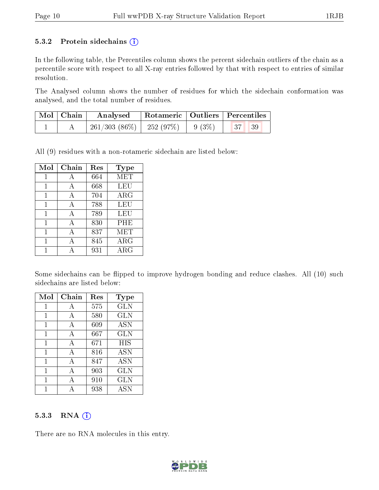#### 5.3.2 Protein sidechains  $(i)$

In the following table, the Percentiles column shows the percent sidechain outliers of the chain as a percentile score with respect to all X-ray entries followed by that with respect to entries of similar resolution.

The Analysed column shows the number of residues for which the sidechain conformation was analysed, and the total number of residues.

| $\mid$ Mol $\mid$ Chain $\mid$ | Analysed Rotameric   Outliers   Percentiles                      |  |  |
|--------------------------------|------------------------------------------------------------------|--|--|
|                                | $\mid$ 261/303 (86%) $\mid$ 252 (97%) $\mid$ 9 (3%) $\mid$ 37 39 |  |  |

All (9) residues with a non-rotameric sidechain are listed below:

| Mol | Chain | Res | <b>Type</b> |
|-----|-------|-----|-------------|
| 1   | A     | 664 | MET         |
|     | А     | 668 | <b>LEU</b>  |
| 1   | A     | 704 | $\rm{ARG}$  |
| 1   | A     | 788 | LEU         |
| 1   | A     | 789 | LEU         |
| 1   | A     | 830 | PHE         |
| 1   | А     | 837 | MET         |
| 1   |       | 845 | $\rm{ARG}$  |
|     |       | 931 | ${\rm ARG}$ |

Some sidechains can be flipped to improve hydrogen bonding and reduce clashes. All (10) such sidechains are listed below:

| Mol | Chain | Res | Type       |
|-----|-------|-----|------------|
| 1   | А     | 575 | <b>GLN</b> |
| 1   | A     | 580 | <b>GLN</b> |
| 1   | A     | 609 | <b>ASN</b> |
| 1   | А     | 667 | <b>GLN</b> |
| 1   | A     | 671 | HIS        |
| 1   | A     | 816 | <b>ASN</b> |
| 1   | A     | 847 | <b>ASN</b> |
| 1   | А     | 903 | <b>GLN</b> |
| 1   | А     | 910 | <b>GLN</b> |
|     |       | 938 | <b>ASN</b> |

#### 5.3.3 RNA (i)

There are no RNA molecules in this entry.

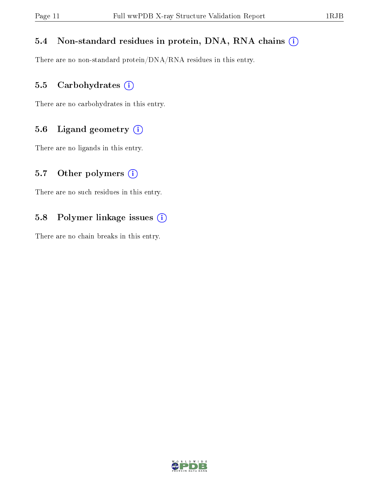#### 5.4 Non-standard residues in protein, DNA, RNA chains (i)

There are no non-standard protein/DNA/RNA residues in this entry.

#### 5.5 Carbohydrates (i)

There are no carbohydrates in this entry.

#### 5.6 Ligand geometry (i)

There are no ligands in this entry.

#### 5.7 [O](https://www.wwpdb.org/validation/2017/XrayValidationReportHelp#nonstandard_residues_and_ligands)ther polymers  $(i)$

There are no such residues in this entry.

#### 5.8 Polymer linkage issues (i)

There are no chain breaks in this entry.